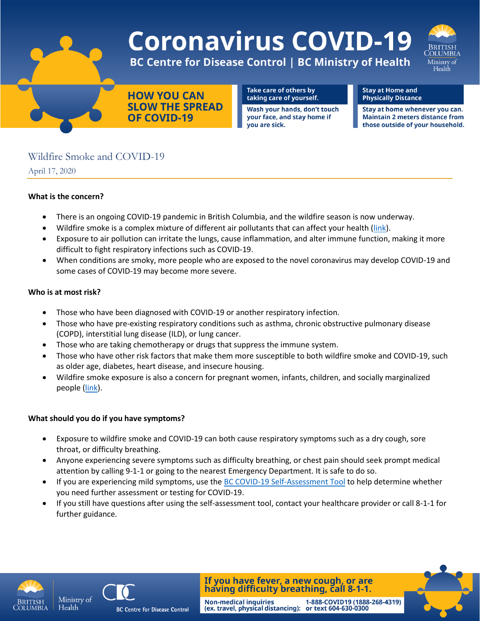# **Coronavirus COVID-19**



**BC Centre for Disease Control | BC Ministry of Health** 

**HOW YOU CAN SLOW THE SPREAD OF COVID-19** 

Take care of others by taking care of yourself.

Wash your hands, don't touch your face, and stay home if you are sick.

**Stay at Home and Physically Distance** 

Stay at home whenever you can. **Maintain 2 meters distance from** those outside of your household.

# Wildfire Smoke and COVID-19

April 17, 2020

### **What is the concern?**

- There is an ongoing COVID-19 pandemic in British Columbia, and the wildfire season is now underway.
- Wildfire smoke is a complex mixture of different air pollutants that can affect your health [\(link\)](http://www.bccdc.ca/resource-gallery/Documents/Guidelines%20and%20Forms/Guidelines%20and%20Manuals/Health-Environment/BCCDC_WildFire_FactSheet_CompositionOfSmoke.pdf).
- Exposure to air pollution can irritate the lungs, cause inflammation, and alter immune function, making it more difficult to fight respiratory infections such as COVID-19.
- When conditions are smoky, more people who are exposed to the novel coronavirus may develop COVID-19 and some cases of COVID-19 may become more severe.

### **Who is at most risk?**

- Those who have been diagnosed with COVID-19 or another respiratory infection.
- Those who have pre-existing respiratory conditions such as asthma, chronic obstructive pulmonary disease (COPD), interstitial lung disease (ILD), or lung cancer.
- Those who are taking chemotherapy or drugs that suppress the immune system.
- Those who have other risk factors that make them more susceptible to both wildfire smoke and COVID-19, such as older age, diabetes, heart disease, and insecure housing.
- Wildfire smoke exposure is also a concern for pregnant women, infants, children, and socially marginalized people [\(link\)](http://www.bccdc.ca/resource-gallery/Documents/Guidelines%20and%20Forms/Guidelines%20and%20Manuals/Health-Environment/BCCDC_WildFire_FactSheet_HealthEffects.pdf).

## **What should you do if you have symptoms?**

- Exposure to wildfire smoke and COVID-19 can both cause respiratory symptoms such as a dry cough, sore throat, or difficulty breathing.
- Anyone experiencing severe symptoms such as difficulty breathing, or chest pain should seek prompt medical attention by calling 9-1-1 or going to the nearest Emergency Department. It is safe to do so.
- If you are experiencing mild symptoms, use the [BC COVID-19 Self-Assessment Tool](https://covid19.thrive.health/) to help determine whether you need further assessment or testing for COVID-19.
- If you still have questions after using the self-assessment tool, contact your healthcare provider or call 8-1-1 for further guidance.

**Non-medical inquiries** 





**BC Centre for Disease Control** 

If you have fever, a new cough, or are having difficulty breathing, call 8-1-1.

(ex. travel, physical distancing): or text 604-630-0300

1-888-COVID19 (1888-268-4319)